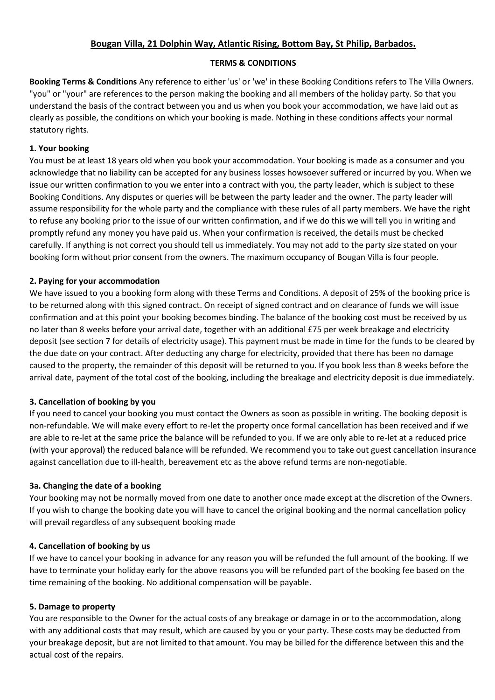## **Bougan Villa, 21 Dolphin Way, Atlantic Rising, Bottom Bay, St Philip, Barbados.**

### **TERMS & CONDITIONS**

**Booking Terms & Conditions** Any reference to either 'us' or 'we' in these Booking Conditions refers to The Villa Owners. "you" or "your" are references to the person making the booking and all members of the holiday party. So that you understand the basis of the contract between you and us when you book your accommodation, we have laid out as clearly as possible, the conditions on which your booking is made. Nothing in these conditions affects your normal statutory rights.

### **1. Your booking**

You must be at least 18 years old when you book your accommodation. Your booking is made as a consumer and you acknowledge that no liability can be accepted for any business losses howsoever suffered or incurred by you. When we issue our written confirmation to you we enter into a contract with you, the party leader, which is subject to these Booking Conditions. Any disputes or queries will be between the party leader and the owner. The party leader will assume responsibility for the whole party and the compliance with these rules of all party members. We have the right to refuse any booking prior to the issue of our written confirmation, and if we do this we will tell you in writing and promptly refund any money you have paid us. When your confirmation is received, the details must be checked carefully. If anything is not correct you should tell us immediately. You may not add to the party size stated on your booking form without prior consent from the owners. The maximum occupancy of Bougan Villa is four people.

#### **2. Paying for your accommodation**

We have issued to you a booking form along with these Terms and Conditions. A deposit of 25% of the booking price is to be returned along with this signed contract. On receipt of signed contract and on clearance of funds we will issue confirmation and at this point your booking becomes binding. The balance of the booking cost must be received by us no later than 8 weeks before your arrival date, together with an additional £75 per week breakage and electricity deposit (see section 7 for details of electricity usage). This payment must be made in time for the funds to be cleared by the due date on your contract. After deducting any charge for electricity, provided that there has been no damage caused to the property, the remainder of this deposit will be returned to you. If you book less than 8 weeks before the arrival date, payment of the total cost of the booking, including the breakage and electricity deposit is due immediately.

## **3. Cancellation of booking by you**

If you need to cancel your booking you must contact the Owners as soon as possible in writing. The booking deposit is non-refundable. We will make every effort to re-let the property once formal cancellation has been received and if we are able to re-let at the same price the balance will be refunded to you. If we are only able to re-let at a reduced price (with your approval) the reduced balance will be refunded. We recommend you to take out guest cancellation insurance against cancellation due to ill-health, bereavement etc as the above refund terms are non-negotiable.

## **3a. Changing the date of a booking**

Your booking may not be normally moved from one date to another once made except at the discretion of the Owners. If you wish to change the booking date you will have to cancel the original booking and the normal cancellation policy will prevail regardless of any subsequent booking made

#### **4. Cancellation of booking by us**

If we have to cancel your booking in advance for any reason you will be refunded the full amount of the booking. If we have to terminate your holiday early for the above reasons you will be refunded part of the booking fee based on the time remaining of the booking. No additional compensation will be payable.

#### **5. Damage to property**

You are responsible to the Owner for the actual costs of any breakage or damage in or to the accommodation, along with any additional costs that may result, which are caused by you or your party. These costs may be deducted from your breakage deposit, but are not limited to that amount. You may be billed for the difference between this and the actual cost of the repairs.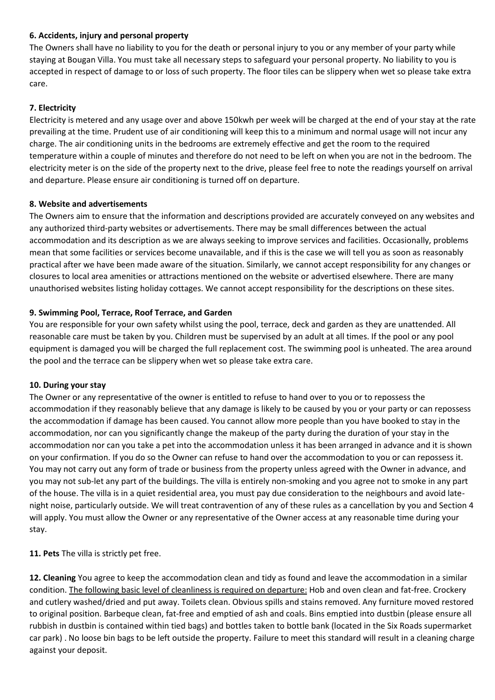## **6. Accidents, injury and personal property**

The Owners shall have no liability to you for the death or personal injury to you or any member of your party while staying at Bougan Villa. You must take all necessary steps to safeguard your personal property. No liability to you is accepted in respect of damage to or loss of such property. The floor tiles can be slippery when wet so please take extra care.

### **7. Electricity**

Electricity is metered and any usage over and above 150kwh per week will be charged at the end of your stay at the rate prevailing at the time. Prudent use of air conditioning will keep this to a minimum and normal usage will not incur any charge. The air conditioning units in the bedrooms are extremely effective and get the room to the required temperature within a couple of minutes and therefore do not need to be left on when you are not in the bedroom. The electricity meter is on the side of the property next to the drive, please feel free to note the readings yourself on arrival and departure. Please ensure air conditioning is turned off on departure.

#### **8. Website and advertisements**

The Owners aim to ensure that the information and descriptions provided are accurately conveyed on any websites and any authorized third-party websites or advertisements. There may be small differences between the actual accommodation and its description as we are always seeking to improve services and facilities. Occasionally, problems mean that some facilities or services become unavailable, and if this is the case we will tell you as soon as reasonably practical after we have been made aware of the situation. Similarly, we cannot accept responsibility for any changes or closures to local area amenities or attractions mentioned on the website or advertised elsewhere. There are many unauthorised websites listing holiday cottages. We cannot accept responsibility for the descriptions on these sites.

#### **9. Swimming Pool, Terrace, Roof Terrace, and Garden**

You are responsible for your own safety whilst using the pool, terrace, deck and garden as they are unattended. All reasonable care must be taken by you. Children must be supervised by an adult at all times. If the pool or any pool equipment is damaged you will be charged the full replacement cost. The swimming pool is unheated. The area around the pool and the terrace can be slippery when wet so please take extra care.

#### **10. During your stay**

The Owner or any representative of the owner is entitled to refuse to hand over to you or to repossess the accommodation if they reasonably believe that any damage is likely to be caused by you or your party or can repossess the accommodation if damage has been caused. You cannot allow more people than you have booked to stay in the accommodation, nor can you significantly change the makeup of the party during the duration of your stay in the accommodation nor can you take a pet into the accommodation unless it has been arranged in advance and it is shown on your confirmation. If you do so the Owner can refuse to hand over the accommodation to you or can repossess it. You may not carry out any form of trade or business from the property unless agreed with the Owner in advance, and you may not sub-let any part of the buildings. The villa is entirely non-smoking and you agree not to smoke in any part of the house. The villa is in a quiet residential area, you must pay due consideration to the neighbours and avoid latenight noise, particularly outside. We will treat contravention of any of these rules as a cancellation by you and Section 4 will apply. You must allow the Owner or any representative of the Owner access at any reasonable time during your stay.

**11. Pets** The villa is strictly pet free.

**12. Cleaning** You agree to keep the accommodation clean and tidy as found and leave the accommodation in a similar condition. The following basic level of cleanliness is required on departure: Hob and oven clean and fat-free. Crockery and cutlery washed/dried and put away. Toilets clean. Obvious spills and stains removed. Any furniture moved restored to original position. Barbeque clean, fat-free and emptied of ash and coals. Bins emptied into dustbin (please ensure all rubbish in dustbin is contained within tied bags) and bottles taken to bottle bank (located in the Six Roads supermarket car park) . No loose bin bags to be left outside the property. Failure to meet this standard will result in a cleaning charge against your deposit.